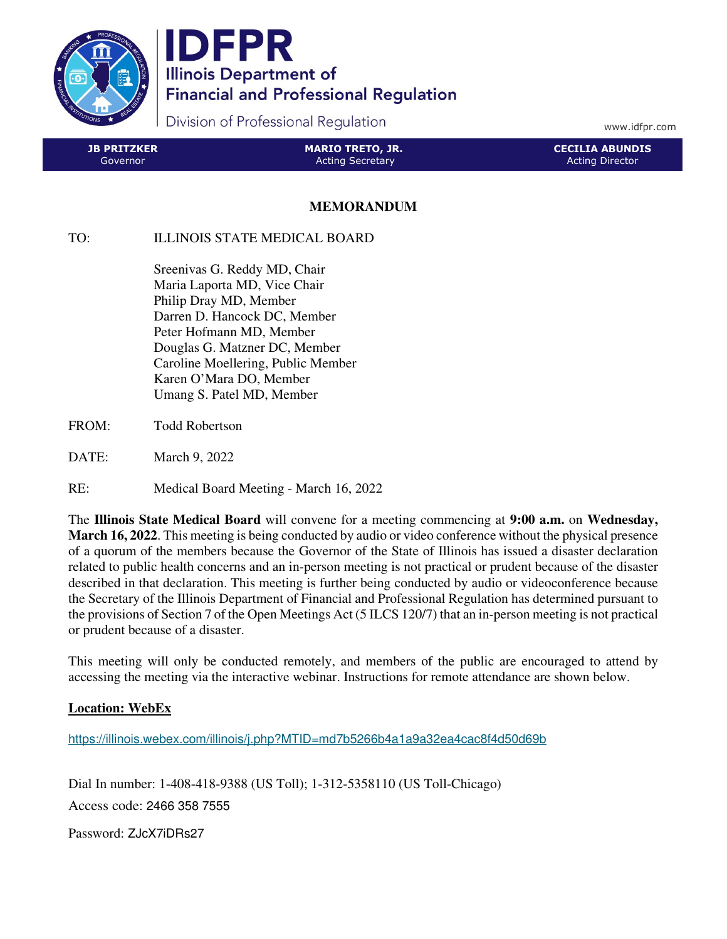

**IDFPR Illinois Department of Financial and Professional Regulation** 

Division of Professional Regulation

www.idfpr.com

| <b>JB PRITZKER</b> | <b>MARIO TRETO, JR.</b> | LCECILIA ABUNDIS ' |
|--------------------|-------------------------|--------------------|
| Governor           | <b>Acting Secretary</b> | Acting Director    |

## **MEMORANDUM**

## TO: ILLINOIS STATE MEDICAL BOARD

 Sreenivas G. Reddy MD, Chair Maria Laporta MD, Vice Chair Philip Dray MD, Member Darren D. Hancock DC, Member Peter Hofmann MD, Member Douglas G. Matzner DC, Member Caroline Moellering, Public Member Karen O'Mara DO, Member Umang S. Patel MD, Member

- FROM: Todd Robertson
- DATE: March 9, 2022
- RE: Medical Board Meeting March 16, 2022

The **Illinois State Medical Board** will convene for a meeting commencing at **9:00 a.m.** on **Wednesday, March 16, 2022**. This meeting is being conducted by audio or video conference without the physical presence of a quorum of the members because the Governor of the State of Illinois has issued a disaster declaration related to public health concerns and an in-person meeting is not practical or prudent because of the disaster described in that declaration. This meeting is further being conducted by audio or videoconference because the Secretary of the Illinois Department of Financial and Professional Regulation has determined pursuant to the provisions of Section 7 of the Open Meetings Act (5 ILCS 120/7) that an in-person meeting is not practical or prudent because of a disaster.

This meeting will only be conducted remotely, and members of the public are encouraged to attend by accessing the meeting via the interactive webinar. Instructions for remote attendance are shown below.

## **Location: WebEx**

https://illinois.webex.com/illinois/j.php?MTID=md7b5266b4a1a9a32ea4cac8f4d50d69b

Dial In number: 1-408-418-9388 (US Toll); 1-312-5358110 (US Toll-Chicago) Access code: 2466 358 7555

Password: ZJcX7iDRs27